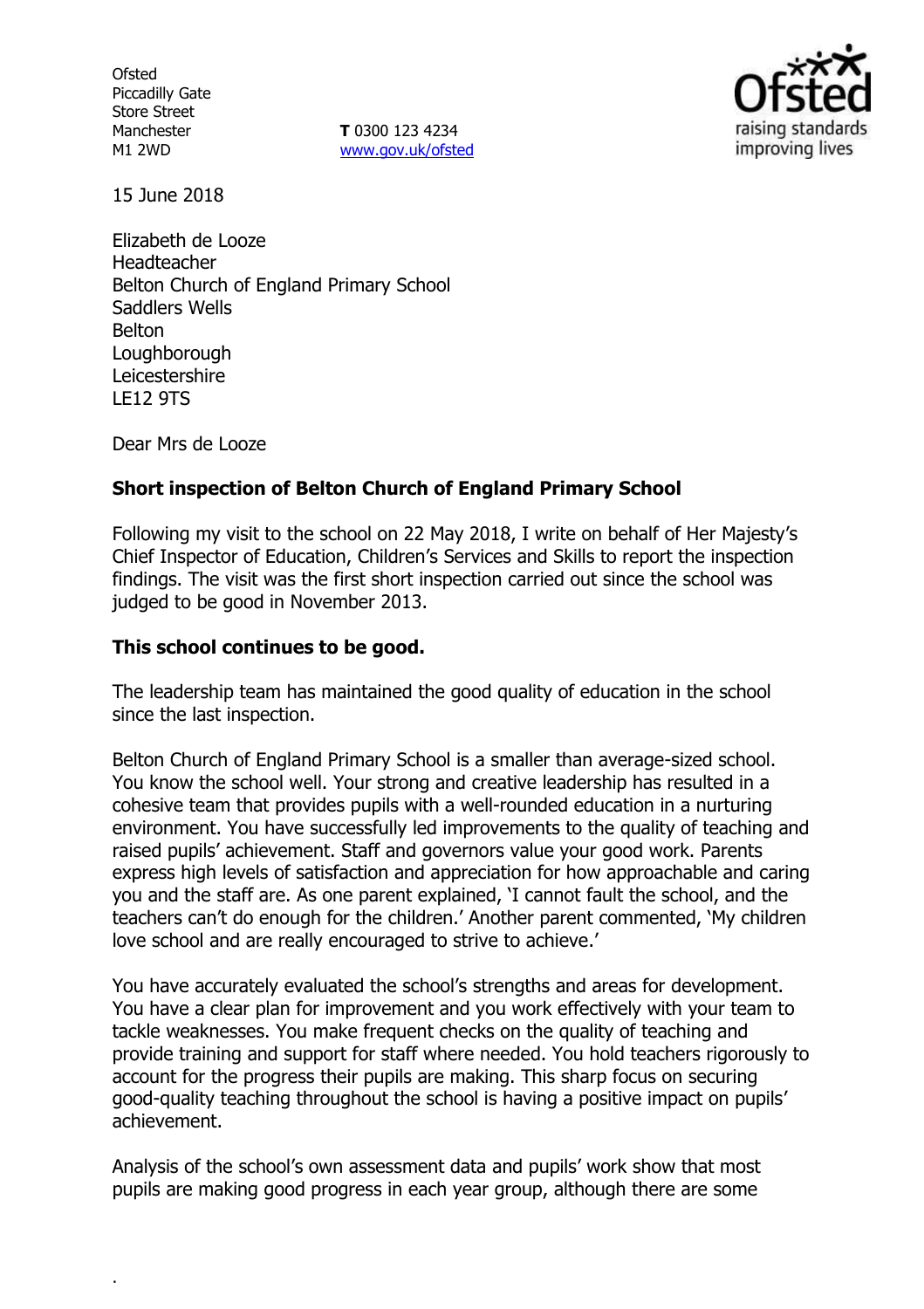**Ofsted** Piccadilly Gate Store Street Manchester M1 2WD

**T** 0300 123 4234 www.gov.uk/ofsted



15 June 2018

Elizabeth de Looze Headteacher Belton Church of England Primary School Saddlers Wells Belton Loughborough Leicestershire LE12 9TS

Dear Mrs de Looze

.

### **Short inspection of Belton Church of England Primary School**

Following my visit to the school on 22 May 2018, I write on behalf of Her Majesty's Chief Inspector of Education, Children's Services and Skills to report the inspection findings. The visit was the first short inspection carried out since the school was judged to be good in November 2013.

### **This school continues to be good.**

The leadership team has maintained the good quality of education in the school since the last inspection.

Belton Church of England Primary School is a smaller than average-sized school. You know the school well. Your strong and creative leadership has resulted in a cohesive team that provides pupils with a well-rounded education in a nurturing environment. You have successfully led improvements to the quality of teaching and raised pupils' achievement. Staff and governors value your good work. Parents express high levels of satisfaction and appreciation for how approachable and caring you and the staff are. As one parent explained, 'I cannot fault the school, and the teachers can't do enough for the children.' Another parent commented, 'My children love school and are really encouraged to strive to achieve.'

You have accurately evaluated the school's strengths and areas for development. You have a clear plan for improvement and you work effectively with your team to tackle weaknesses. You make frequent checks on the quality of teaching and provide training and support for staff where needed. You hold teachers rigorously to account for the progress their pupils are making. This sharp focus on securing good-quality teaching throughout the school is having a positive impact on pupils' achievement.

Analysis of the school's own assessment data and pupils' work show that most pupils are making good progress in each year group, although there are some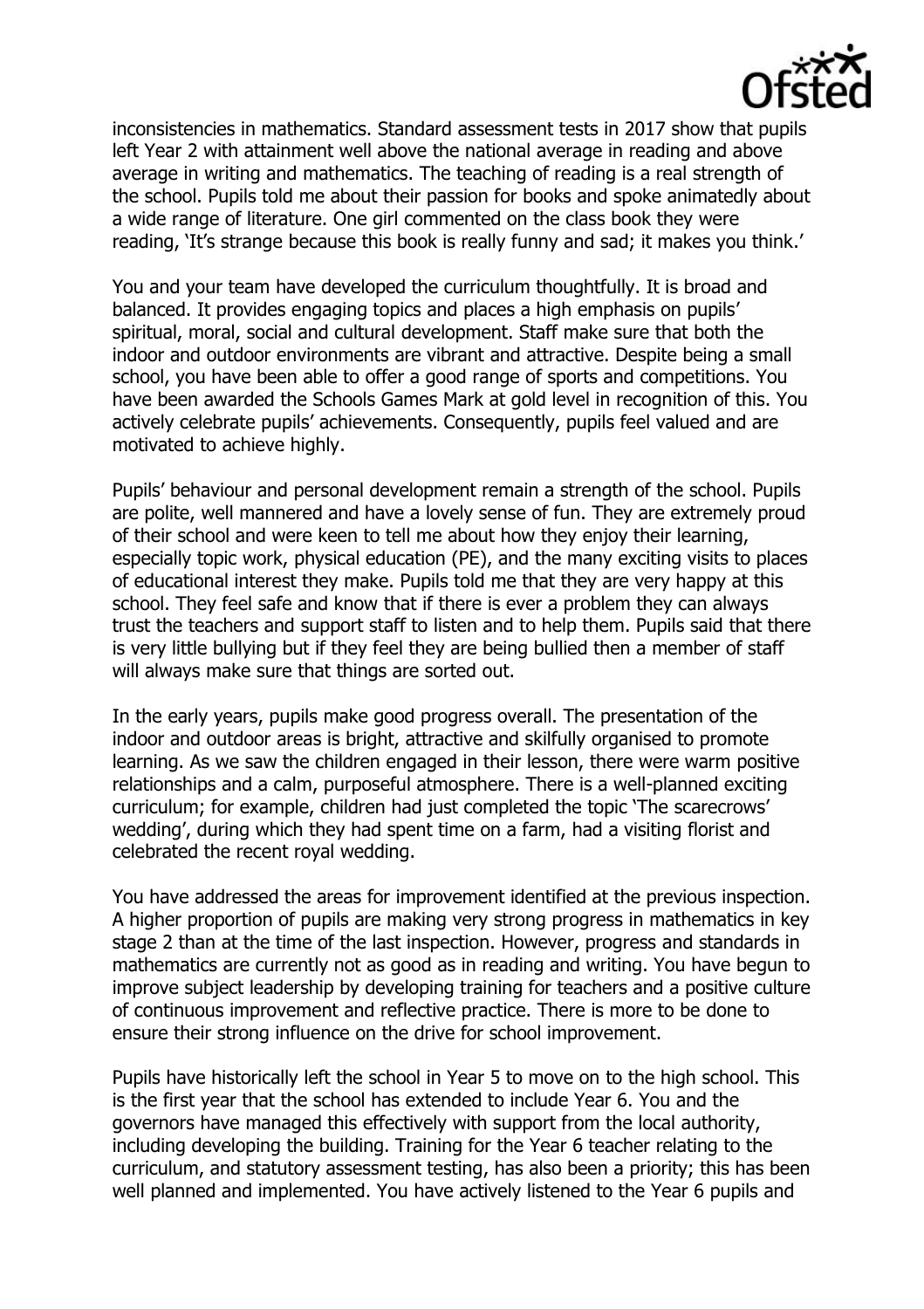

inconsistencies in mathematics. Standard assessment tests in 2017 show that pupils left Year 2 with attainment well above the national average in reading and above average in writing and mathematics. The teaching of reading is a real strength of the school. Pupils told me about their passion for books and spoke animatedly about a wide range of literature. One girl commented on the class book they were reading, 'It's strange because this book is really funny and sad; it makes you think.'

You and your team have developed the curriculum thoughtfully. It is broad and balanced. It provides engaging topics and places a high emphasis on pupils' spiritual, moral, social and cultural development. Staff make sure that both the indoor and outdoor environments are vibrant and attractive. Despite being a small school, you have been able to offer a good range of sports and competitions. You have been awarded the Schools Games Mark at gold level in recognition of this. You actively celebrate pupils' achievements. Consequently, pupils feel valued and are motivated to achieve highly.

Pupils' behaviour and personal development remain a strength of the school. Pupils are polite, well mannered and have a lovely sense of fun. They are extremely proud of their school and were keen to tell me about how they enjoy their learning, especially topic work, physical education (PE), and the many exciting visits to places of educational interest they make. Pupils told me that they are very happy at this school. They feel safe and know that if there is ever a problem they can always trust the teachers and support staff to listen and to help them. Pupils said that there is very little bullying but if they feel they are being bullied then a member of staff will always make sure that things are sorted out.

In the early years, pupils make good progress overall. The presentation of the indoor and outdoor areas is bright, attractive and skilfully organised to promote learning. As we saw the children engaged in their lesson, there were warm positive relationships and a calm, purposeful atmosphere. There is a well-planned exciting curriculum; for example, children had just completed the topic 'The scarecrows' wedding', during which they had spent time on a farm, had a visiting florist and celebrated the recent royal wedding.

You have addressed the areas for improvement identified at the previous inspection. A higher proportion of pupils are making very strong progress in mathematics in key stage 2 than at the time of the last inspection. However, progress and standards in mathematics are currently not as good as in reading and writing. You have begun to improve subject leadership by developing training for teachers and a positive culture of continuous improvement and reflective practice. There is more to be done to ensure their strong influence on the drive for school improvement.

Pupils have historically left the school in Year 5 to move on to the high school. This is the first year that the school has extended to include Year 6. You and the governors have managed this effectively with support from the local authority, including developing the building. Training for the Year 6 teacher relating to the curriculum, and statutory assessment testing, has also been a priority; this has been well planned and implemented. You have actively listened to the Year 6 pupils and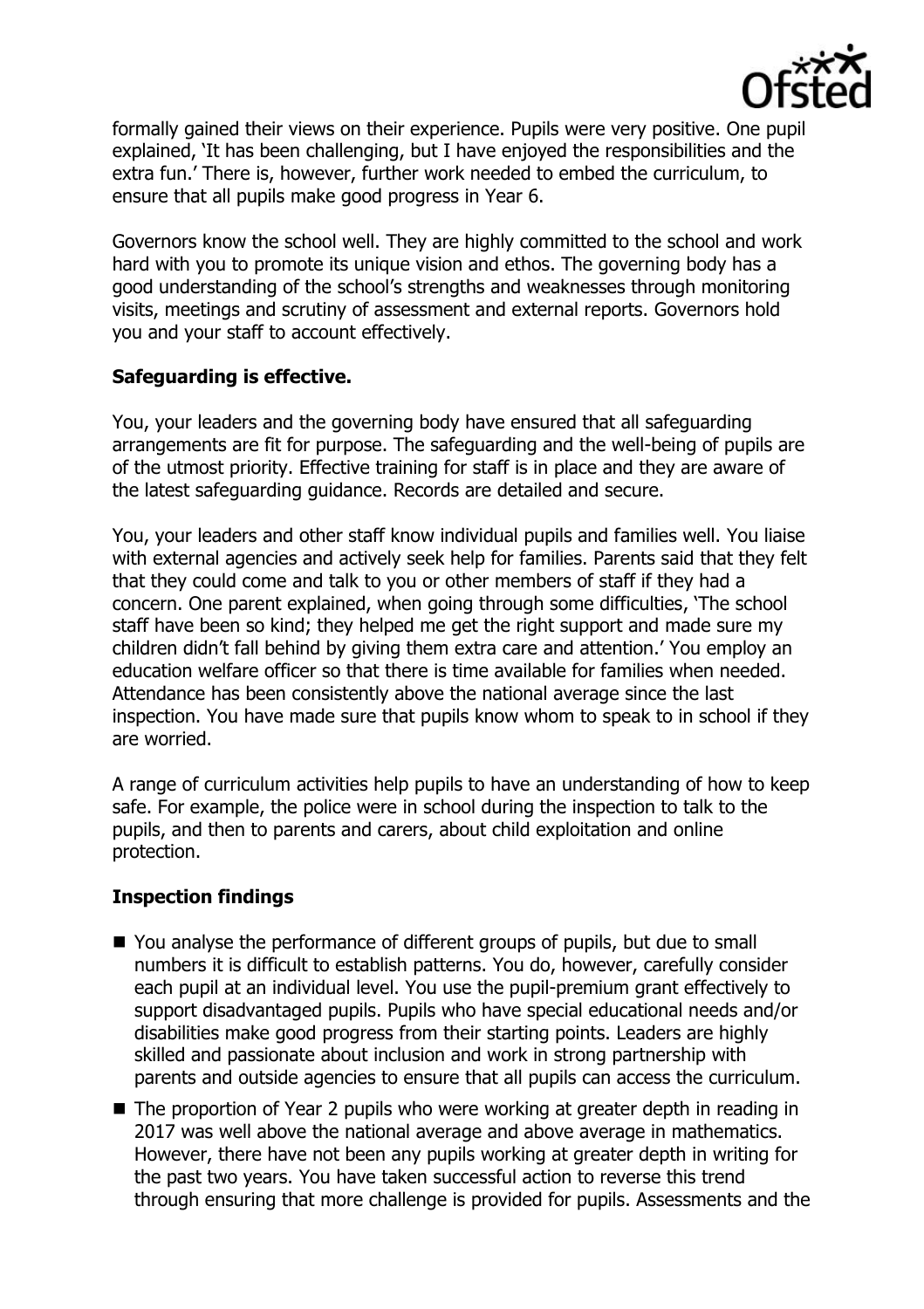

formally gained their views on their experience. Pupils were very positive. One pupil explained, 'It has been challenging, but I have enjoyed the responsibilities and the extra fun.' There is, however, further work needed to embed the curriculum, to ensure that all pupils make good progress in Year 6.

Governors know the school well. They are highly committed to the school and work hard with you to promote its unique vision and ethos. The governing body has a good understanding of the school's strengths and weaknesses through monitoring visits, meetings and scrutiny of assessment and external reports. Governors hold you and your staff to account effectively.

### **Safeguarding is effective.**

You, your leaders and the governing body have ensured that all safeguarding arrangements are fit for purpose. The safeguarding and the well-being of pupils are of the utmost priority. Effective training for staff is in place and they are aware of the latest safeguarding guidance. Records are detailed and secure.

You, your leaders and other staff know individual pupils and families well. You liaise with external agencies and actively seek help for families. Parents said that they felt that they could come and talk to you or other members of staff if they had a concern. One parent explained, when going through some difficulties, 'The school staff have been so kind; they helped me get the right support and made sure my children didn't fall behind by giving them extra care and attention.' You employ an education welfare officer so that there is time available for families when needed. Attendance has been consistently above the national average since the last inspection. You have made sure that pupils know whom to speak to in school if they are worried.

A range of curriculum activities help pupils to have an understanding of how to keep safe. For example, the police were in school during the inspection to talk to the pupils, and then to parents and carers, about child exploitation and online protection.

# **Inspection findings**

- You analyse the performance of different groups of pupils, but due to small numbers it is difficult to establish patterns. You do, however, carefully consider each pupil at an individual level. You use the pupil-premium grant effectively to support disadvantaged pupils. Pupils who have special educational needs and/or disabilities make good progress from their starting points. Leaders are highly skilled and passionate about inclusion and work in strong partnership with parents and outside agencies to ensure that all pupils can access the curriculum.
- The proportion of Year 2 pupils who were working at greater depth in reading in 2017 was well above the national average and above average in mathematics. However, there have not been any pupils working at greater depth in writing for the past two years. You have taken successful action to reverse this trend through ensuring that more challenge is provided for pupils. Assessments and the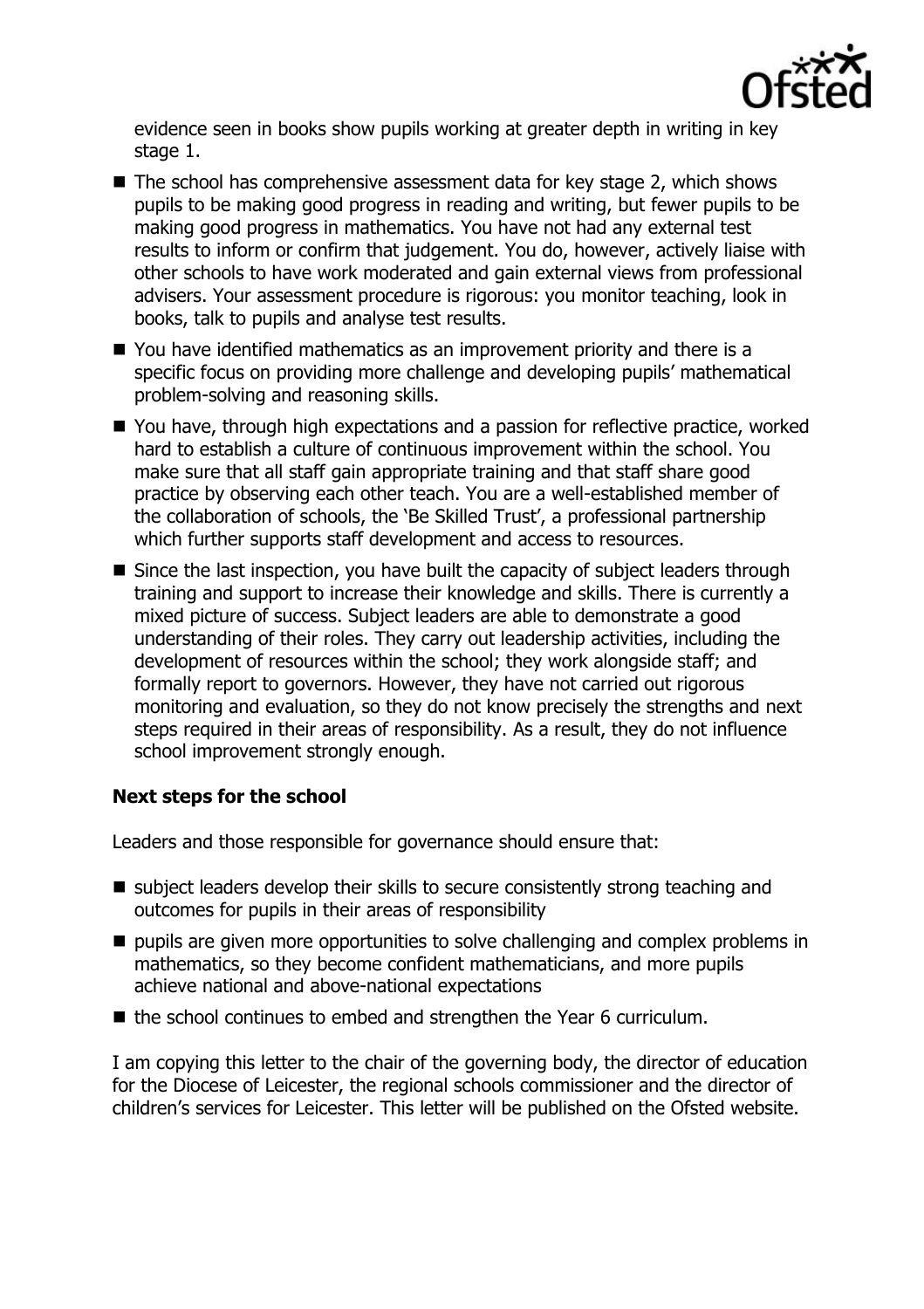

evidence seen in books show pupils working at greater depth in writing in key stage 1.

- The school has comprehensive assessment data for key stage 2, which shows pupils to be making good progress in reading and writing, but fewer pupils to be making good progress in mathematics. You have not had any external test results to inform or confirm that judgement. You do, however, actively liaise with other schools to have work moderated and gain external views from professional advisers. Your assessment procedure is rigorous: you monitor teaching, look in books, talk to pupils and analyse test results.
- You have identified mathematics as an improvement priority and there is a specific focus on providing more challenge and developing pupils' mathematical problem-solving and reasoning skills.
- You have, through high expectations and a passion for reflective practice, worked hard to establish a culture of continuous improvement within the school. You make sure that all staff gain appropriate training and that staff share good practice by observing each other teach. You are a well-established member of the collaboration of schools, the 'Be Skilled Trust', a professional partnership which further supports staff development and access to resources.
- Since the last inspection, you have built the capacity of subject leaders through training and support to increase their knowledge and skills. There is currently a mixed picture of success. Subject leaders are able to demonstrate a good understanding of their roles. They carry out leadership activities, including the development of resources within the school; they work alongside staff; and formally report to governors. However, they have not carried out rigorous monitoring and evaluation, so they do not know precisely the strengths and next steps required in their areas of responsibility. As a result, they do not influence school improvement strongly enough.

# **Next steps for the school**

Leaders and those responsible for governance should ensure that:

- $\blacksquare$  subject leaders develop their skills to secure consistently strong teaching and outcomes for pupils in their areas of responsibility
- $\blacksquare$  pupils are given more opportunities to solve challenging and complex problems in mathematics, so they become confident mathematicians, and more pupils achieve national and above-national expectations
- the school continues to embed and strengthen the Year 6 curriculum.

I am copying this letter to the chair of the governing body, the director of education for the Diocese of Leicester, the regional schools commissioner and the director of children's services for Leicester. This letter will be published on the Ofsted website.